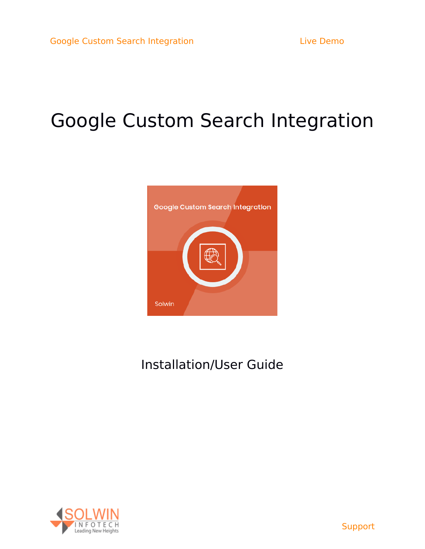# Google Custom Search Integration



## Installation/User Guide

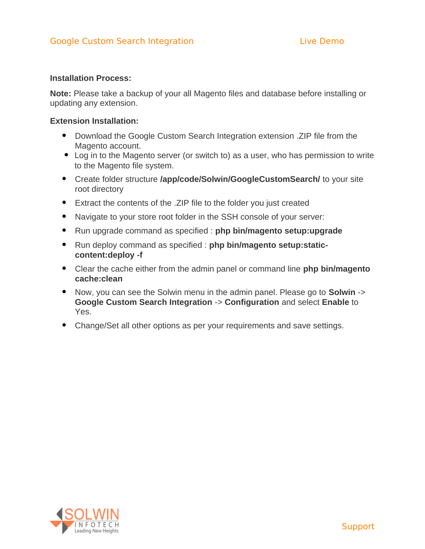#### **Installation Process:**

**Note:** Please take a backup of your all Magento files and database before installing or updating any extension.

#### **Extension Installation:**

- Download the Google Custom Search Integration extension .ZIP file from the Magento account.
- Log in to the Magento server (or switch to) as a user, who has permission to write to the Magento file system.
- Create folder structure **/app/code/Solwin/GoogleCustomSearch/** to your site root directory
- Extract the contents of the .ZIP file to the folder you just created
- Navigate to your store root folder in the SSH console of your server:
- Run upgrade command as specified : **php bin/magento setup:upgrade**
- Run deploy command as specified : **php bin/magento setup:staticcontent:deploy -f**
- Clear the cache either from the admin panel or command line **php bin/magento cache:clean**
- Now, you can see the Solwin menu in the admin panel. Please go to **Solwin** -> **Google Custom Search Integration** -> **Configuration** and select **Enable** to Yes.
- Change/Set all other options as per your requirements and save settings.

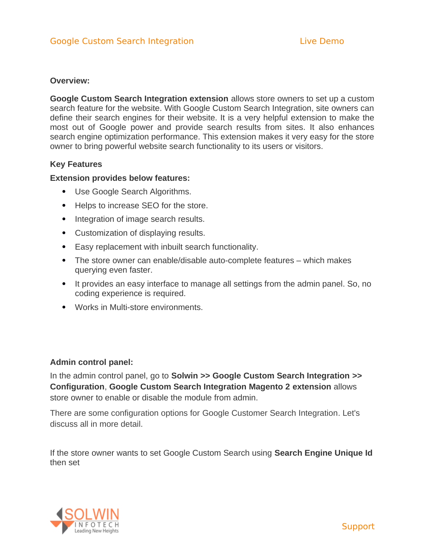#### **Overview:**

**Google Custom Search Integration extension** allows store owners to set up a custom search feature for the website. With Google Custom Search Integration, site owners can define their search engines for their website. It is a very helpful extension to make the most out of Google power and provide search results from sites. It also enhances search engine optimization performance. This extension makes it very easy for the store owner to bring powerful website search functionality to its users or visitors.

#### **Key Features**

#### **Extension provides below features:**

- Use Google Search Algorithms.
- Helps to increase SEO for the store.
- Integration of image search results.
- Customization of displaying results.
- Easy replacement with inbuilt search functionality.
- The store owner can enable/disable auto-complete features which makes querying even faster.
- It provides an easy interface to manage all settings from the admin panel. So, no coding experience is required.
- Works in Multi-store environments.

#### **Admin control panel:**

In the admin control panel, go to **Solwin >> Google Custom Search Integration >> Configuration**, **Google Custom Search Integration Magento 2 extension** allows store owner to enable or disable the module from admin.

There are some configuration options for Google Customer Search Integration. Let's discuss all in more detail.

If the store owner wants to set Google Custom Search using **Search Engine Unique Id** then set

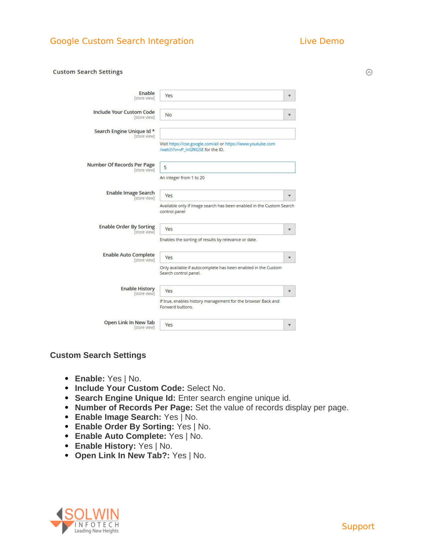### Google Custom Search Integration [Live Demo](http://magedemo.solwininfotech.com/magento2/extension/storefront/sim2gcsi)

 $\odot$ 

#### **Custom Search Settings**

| Enable                                          |                                                                                                 |   |
|-------------------------------------------------|-------------------------------------------------------------------------------------------------|---|
| [store view]                                    | Yes                                                                                             |   |
| <b>Include Your Custom Code</b><br>[store view] | No                                                                                              | w |
| Search Engine Unique Id *<br>[store view]       |                                                                                                 |   |
|                                                 | Visit https://cse.google.com/all or https://www.youtube.com<br>/watch?v=vP_inGfKG5E for the ID. |   |
| Number Of Records Per Page<br>[store view]      | 5                                                                                               |   |
|                                                 | An integer from 1 to 20                                                                         |   |
| <b>Enable Image Search</b><br>[store view]      | Yes                                                                                             |   |
|                                                 |                                                                                                 |   |
|                                                 | Available only if image search has been enabled in the Custom Search<br>control panel           |   |
| <b>Enable Order By Sorting</b><br>[store view]  | Yes                                                                                             |   |
|                                                 | Enables the sorting of results by relevance or date.                                            |   |
| <b>Enable Auto Complete</b><br>[store view]     | Yes                                                                                             |   |
|                                                 | Only available if autocomplete has been enabled in the Custom<br>Search control panel.          |   |
| <b>Enable History</b><br>[store view]           | Yes                                                                                             |   |
|                                                 | If true, enables history management for the browser Back and<br>Forward buttons.                |   |

#### **Custom Search Settings**

- **Enable:** Yes | No.
- **Include Your Custom Code:** Select No.
- **Search Engine Unique Id:** Enter search engine unique id.
- **Number of Records Per Page:** Set the value of records display per page.
- **Enable Image Search:** Yes | No.
- **Enable Order By Sorting:** Yes | No.
- **Enable Auto Complete:** Yes | No.
- **Enable History:** Yes | No.
- **Open Link In New Tab?:** Yes | No.

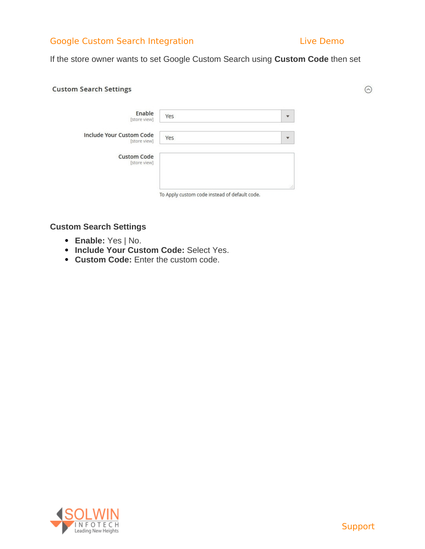#### Google Custom Search Integration [Live Demo](http://magedemo.solwininfotech.com/magento2/extension/storefront/sim2gcsi)

 $\odot$ 

If the store owner wants to set Google Custom Search using **Custom Code** then set

#### **Custom Search Settings**

| Enable<br>[store view]                   | Yes                                           |     |
|------------------------------------------|-----------------------------------------------|-----|
| Include Your Custom Code<br>[store view] | Yes                                           |     |
| <b>Custom Code</b><br>[store view]       |                                               |     |
|                                          | To Apply custom code instead of default code. | иł. |

#### **Custom Search Settings**

- **Enable:** Yes | No.
- **Include Your Custom Code: Select Yes.**
- **Custom Code:** Enter the custom code.

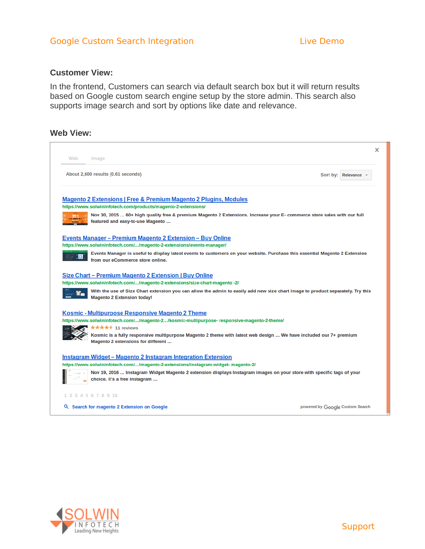#### Google Custom Search Integration and [Live Demo](http://magedemo.solwininfotech.com/magento2/extension/storefront/sim2gcsi)

#### **Customer View:**

In the frontend, Customers can search via default search box but it will return results based on Google custom search engine setup by the store admin. This search also supports image search and sort by options like date and relevance.

#### **Web View:**

| Web<br>Image                                                                                                                                                                             |                                 |  |
|------------------------------------------------------------------------------------------------------------------------------------------------------------------------------------------|---------------------------------|--|
| About 2,600 results (0.61 seconds)                                                                                                                                                       | Sort by: Relevance              |  |
| Magento 2 Extensions   Free & Premium Magento 2 Plugins, Modules                                                                                                                         |                                 |  |
| https://www.solwininfotech.com/products/magento-2-extensions/<br>Nov 30, 2015  60+ high quality free & premium Magento 2 Extensions. Increase your E- commerce store sales with our full |                                 |  |
| featured and easy-to-use Magento                                                                                                                                                         |                                 |  |
| <u> Events Manager – Premium Magento 2 Extension – Buy Online</u>                                                                                                                        |                                 |  |
| https://www.solwininfotech.com//magento-2-extensions/events-manager/                                                                                                                     |                                 |  |
| Events Manager is useful to display latest events to customers on your website. Purchase this essential Magento 2 Extension<br><b>H</b><br>from our eCommerce store online.              |                                 |  |
| Size Chart – Premium Magento 2 Extension   Buy Online                                                                                                                                    |                                 |  |
| https://www.solwininfotech.com//magento-2-extensions/size-chart-magento -2/                                                                                                              |                                 |  |
| With the use of Size Chart extension you can allow the admin to easily add new size chart image to product separately. Try this<br><b>Magento 2 Extension today!</b>                     |                                 |  |
| <b>Kosmic - Multipurpose Responsive Magento 2 Theme</b>                                                                                                                                  |                                 |  |
| https://www.solwininfotech.com//magento-2/kosmic-multipurpose- responsive-magento-2-theme/                                                                                               |                                 |  |
| <b>★★★★★ 11 reviews</b><br>Kosmic is a fully responsive multipurpose Magento 2 theme with latest web design  We have included our 7+ premium<br>Magento 2 extensions for different       |                                 |  |
| Instagram Widget – Magento 2 Instagram Integration Extension                                                                                                                             |                                 |  |
| https://www.solwininfotech.com//magento-2-extensions/instagram-widget- magento-2/                                                                                                        |                                 |  |
| Nov 19, 2016  Instagram Widget Magento 2 extension displays Instagram images on your store with specific tags of your<br>choice. It's a free Instagram                                   |                                 |  |
| 1 2 3 4 5 6 7 8 9 10                                                                                                                                                                     |                                 |  |
| Q Search for magento 2 Extension on Google                                                                                                                                               | powered by Google Custom Search |  |